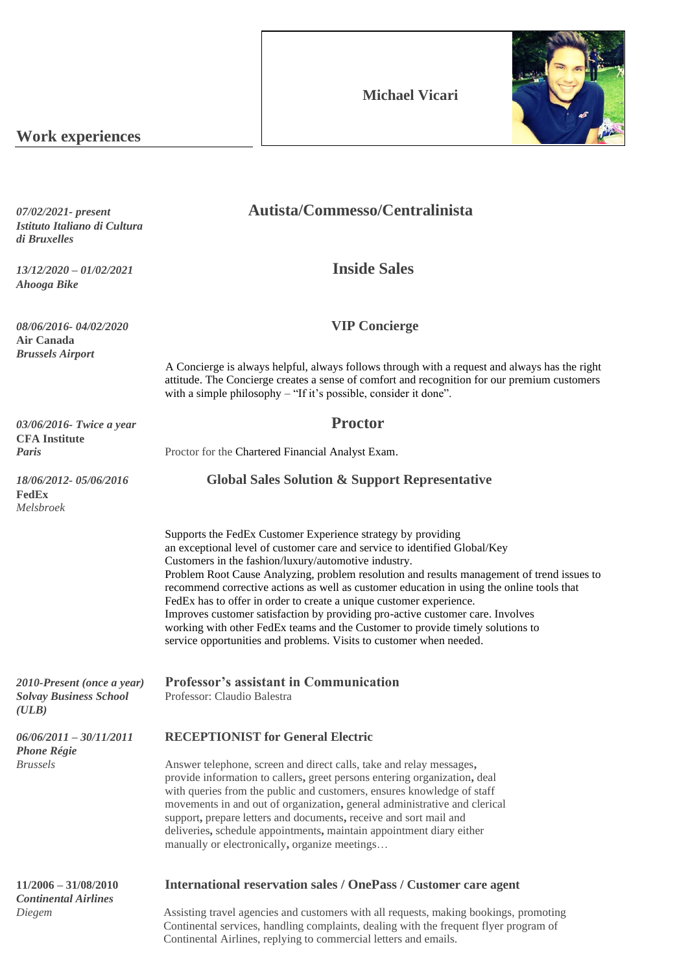**Michael Vicari**



# **Work experiences**

*Istituto Italiano di Cultura di Bruxelles*

*13/12/2020 – 01/02/2021* **Inside Sales** *Ahooga Bike*

*08/06/2016- 04/02/2020* **VIP Concierge Air Canada** *Brussels Airport*

**CFA Institute**

**FedEx** *Melsbroek*

*(ULB)* 

*Phone Régie*

#### *07/02/2021- present* **Autista/Commesso/Centralinista**

A Concierge is always helpful, always follows through with a request and always has the right attitude. The Concierge creates a sense of comfort and recognition for our premium customers with a simple philosophy – "If it's possible, consider it done".

#### *03/06/2016- Twice a year* **Proctor**

**Paris** Proctor for the Chartered Financial Analyst Exam.

Whiba SS ddsfds Sc

#### *18/06/2012- 05/06/2016* **Global Sales Solution & Support Representative**

Supports the FedEx Customer Experience strategy by providing an exceptional level of customer care and service to identified Global/Key Customers in the fashion/luxury/automotive industry. Problem Root Cause Analyzing, problem resolution and results management of trend issues to recommend corrective actions as well as customer education in using the online tools that FedEx has to offer in order to create a unique customer experience. Improves customer satisfaction by providing pro-active customer care. Involves working with other FedEx teams and the Customer to provide timely solutions to service opportunities and problems. Visits to customer when needed.

*2010-Present (once a year)* **Professor's assistant in Communication** *Solvay Business School* Professor: Claudio Balestra

#### *06/06/2011 – 30/11/2011* **RECEPTIONIST for General Electric**

*Brussels* Answer telephone, screen and direct calls, take and relay messages**,** provide information to callers**,** greet persons entering organization**,** deal with queries from the public and customers, ensures knowledge of staff movements in and out of organization**,** general administrative and clerical support**,** prepare letters and documents**,** receive and sort mail and deliveries**,** schedule appointments**,** maintain appointment diary either manually or electronically**,** organize meetings…

# *Continental Airlines*

#### **11/2006 – 31/08/2010 International reservation sales / OnePass / Customer care agent**

*Diegem* Assisting travel agencies and customers with all requests, making bookings, promoting Continental services, handling complaints, dealing with the frequent flyer program of Continental Airlines, replying to commercial letters and emails.